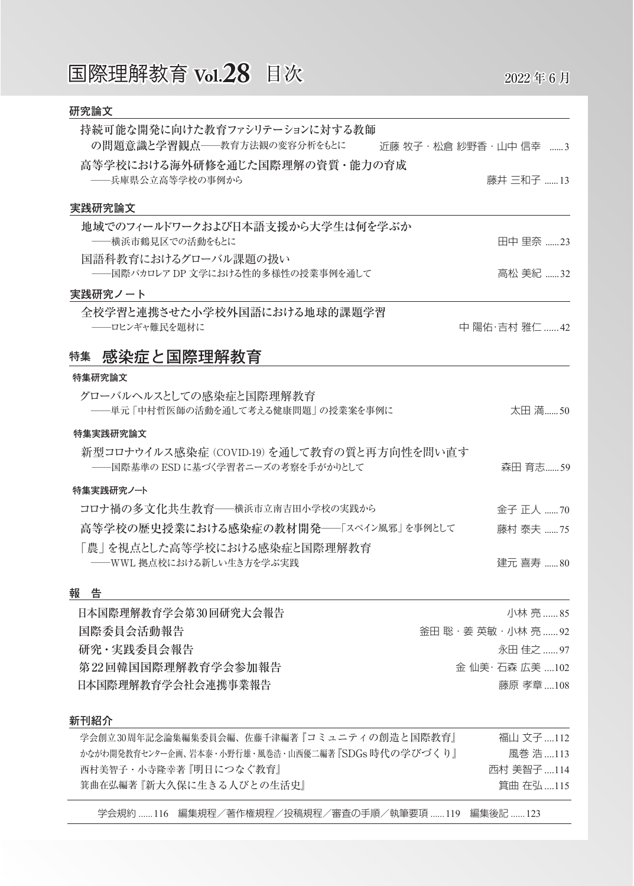# 国際理解教育 **Vol.28** 目次 2022年6月

| 近藤 牧子・松倉 紗野香・山中 信幸 ……3 |
|------------------------|
|                        |
| 藤井 三和子 13              |
|                        |
|                        |
| 田中 里奈 23               |
|                        |
| 高松 美紀 32               |
|                        |
|                        |
| 中 陽佑·吉村 雅仁 42          |
|                        |
|                        |
|                        |
| 太田 満50                 |
|                        |
|                        |
| 森田 育志59                |
|                        |
| 金子 正人 70               |
|                        |
| 藤村 泰夫 75               |
|                        |
| 建元 喜寿 80               |
|                        |
| 小林亮 85                 |
| 釜田 聡 · 姜 英敏 · 小林 亮 92  |
| 永田 佳之 97               |
| 金 仙美· 石森 広美 102        |
|                        |

#### **新刊紹介**

| 学会創立30周年記念論集編集委員会編、佐藤千津編著『コミュニティの創造と国際教育』            | 福山 文子 112  |
|------------------------------------------------------|------------|
| かながわ開発教育センター企画、岩本泰・小野行雄・風巻浩・山西優二編著 『SDGs 1時代の2学びづく り | 風巻 浩 …113  |
| 西村美智子・小寺隆幸著   明日につなぐ教育                               | 西村 美智子 114 |
| 箕曲在弘編著   新大久保に生きる人びとの生活史                             | 箕曲 在弘 115  |
|                                                      |            |

学会規約 ......116 編集規程/著作権規程/投稿規程/審査の手順/執筆要項 ......119 編集後記 ......123